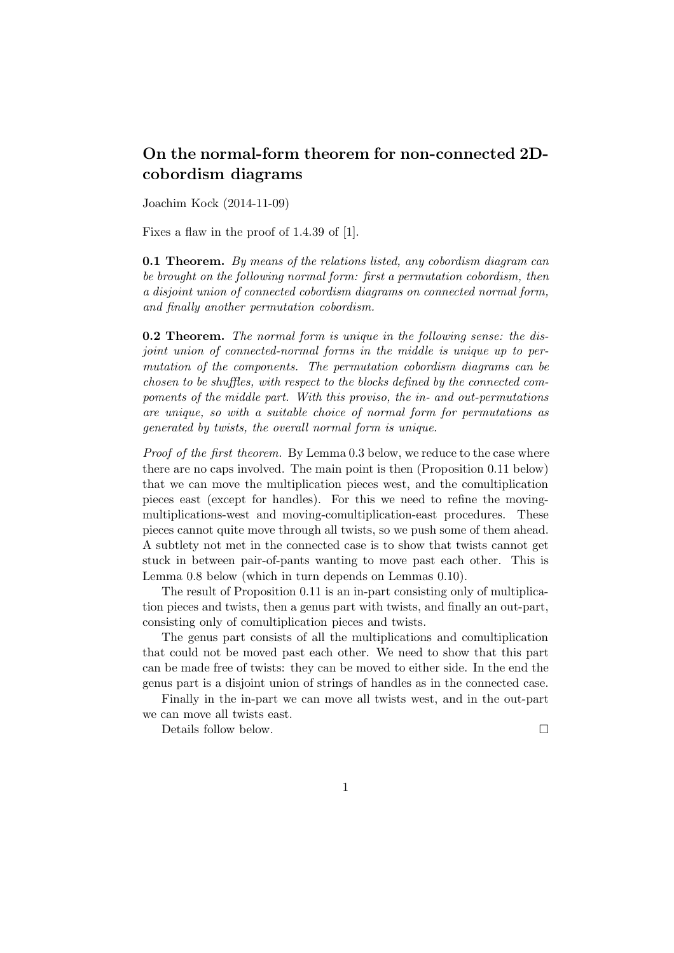## On the normal-form theorem for non-connected 2Dcobordism diagrams

Joachim Kock (2014-11-09)

Fixes a flaw in the proof of 1.4.39 of [1].

**0.1 Theorem.** By means of the relations listed, any cobordism diagram can be brought on the following normal form: first a permutation cobordism, then a disjoint union of connected cobordism diagrams on connected normal form, and finally another permutation cobordism.

0.2 Theorem. The normal form is unique in the following sense: the disjoint union of connected-normal forms in the middle is unique up to permutation of the components. The permutation cobordism diagrams can be chosen to be shuffles, with respect to the blocks defined by the connected compoments of the middle part. With this proviso, the in- and out-permutations are unique, so with a suitable choice of normal form for permutations as generated by twists, the overall normal form is unique.

Proof of the first theorem. By Lemma 0.3 below, we reduce to the case where there are no caps involved. The main point is then (Proposition 0.11 below) that we can move the multiplication pieces west, and the comultiplication pieces east (except for handles). For this we need to refine the movingmultiplications-west and moving-comultiplication-east procedures. These pieces cannot quite move through all twists, so we push some of them ahead. A subtlety not met in the connected case is to show that twists cannot get stuck in between pair-of-pants wanting to move past each other. This is Lemma 0.8 below (which in turn depends on Lemmas 0.10).

The result of Proposition 0.11 is an in-part consisting only of multiplication pieces and twists, then a genus part with twists, and finally an out-part, consisting only of comultiplication pieces and twists.

The genus part consists of all the multiplications and comultiplication that could not be moved past each other. We need to show that this part can be made free of twists: they can be moved to either side. In the end the genus part is a disjoint union of strings of handles as in the connected case.

Finally in the in-part we can move all twists west, and in the out-part we can move all twists east.

Details follow below.  $\Box$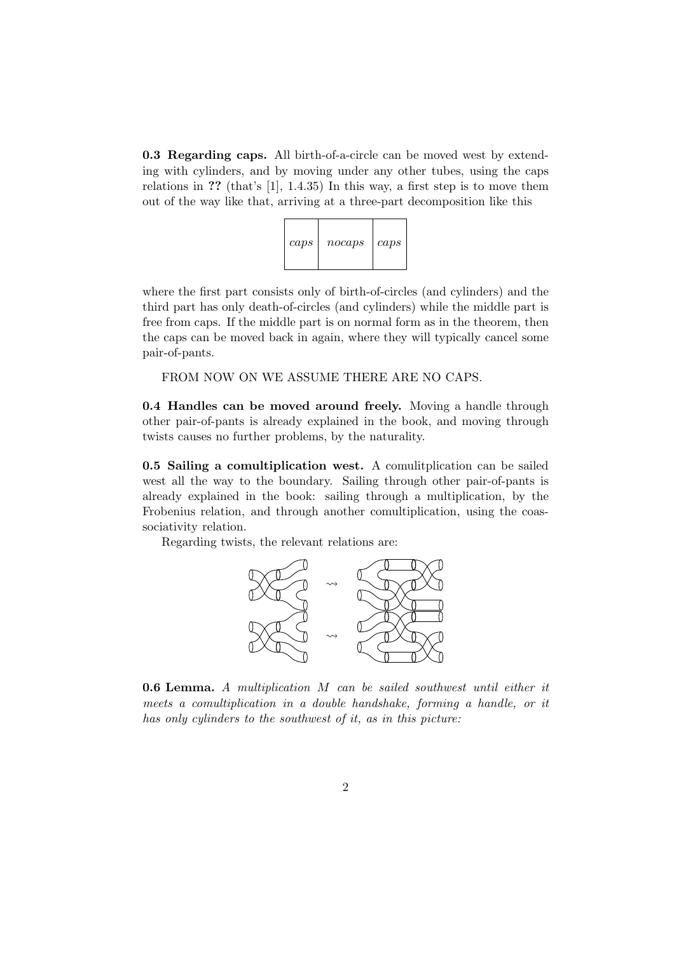0.3 Regarding caps. All birth-of-a-circle can be moved west by extending with cylinders, and by moving under any other tubes, using the caps relations in ?? (that's [1], 1.4.35) In this way, a first step is to move them out of the way like that, arriving at a three-part decomposition like this



where the first part consists only of birth-of-circles (and cylinders) and the third part has only death-of-circles (and cylinders) while the middle part is free from caps. If the middle part is on normal form as in the theorem, then the caps can be moved back in again, where they will typically cancel some pair-of-pants.

FROM NOW ON WE ASSUME THERE ARE NO CAPS.

0.4 Handles can be moved around freely. Moving a handle through other pair-of-pants is already explained in the book, and moving through twists causes no further problems, by the naturality.

0.5 Sailing a comultiplication west. A comulitplication can be sailed west all the way to the boundary. Sailing through other pair-of-pants is already explained in the book: sailing through a multiplication, by the Frobenius relation, and through another comultiplication, using the coassociativity relation.

Regarding twists, the relevant relations are:



0.6 Lemma. A multiplication M can be sailed southwest until either it meets a comultiplication in a double handshake, forming a handle, or it has only cylinders to the southwest of it, as in this picture: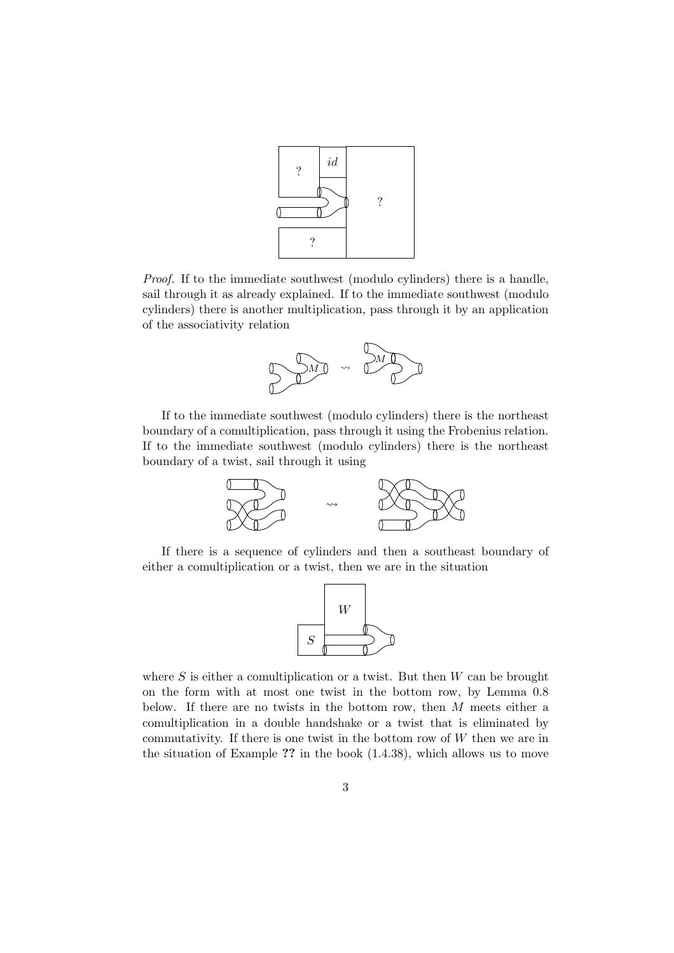

Proof. If to the immediate southwest (modulo cylinders) there is a handle, sail through it as already explained. If to the immediate southwest (modulo cylinders) there is another multiplication, pass through it by an application of the associativity relation



If to the immediate southwest (modulo cylinders) there is the northeast boundary of a comultiplication, pass through it using the Frobenius relation. If to the immediate southwest (modulo cylinders) there is the northeast boundary of a twist, sail through it using



If there is a sequence of cylinders and then a southeast boundary of either a comultiplication or a twist, then we are in the situation



where S is either a comultiplication or a twist. But then  $W$  can be brought on the form with at most one twist in the bottom row, by Lemma 0.8 below. If there are no twists in the bottom row, then  $M$  meets either a comultiplication in a double handshake or a twist that is eliminated by commutativity. If there is one twist in the bottom row of  $W$  then we are in the situation of Example ?? in the book (1.4.38), which allows us to move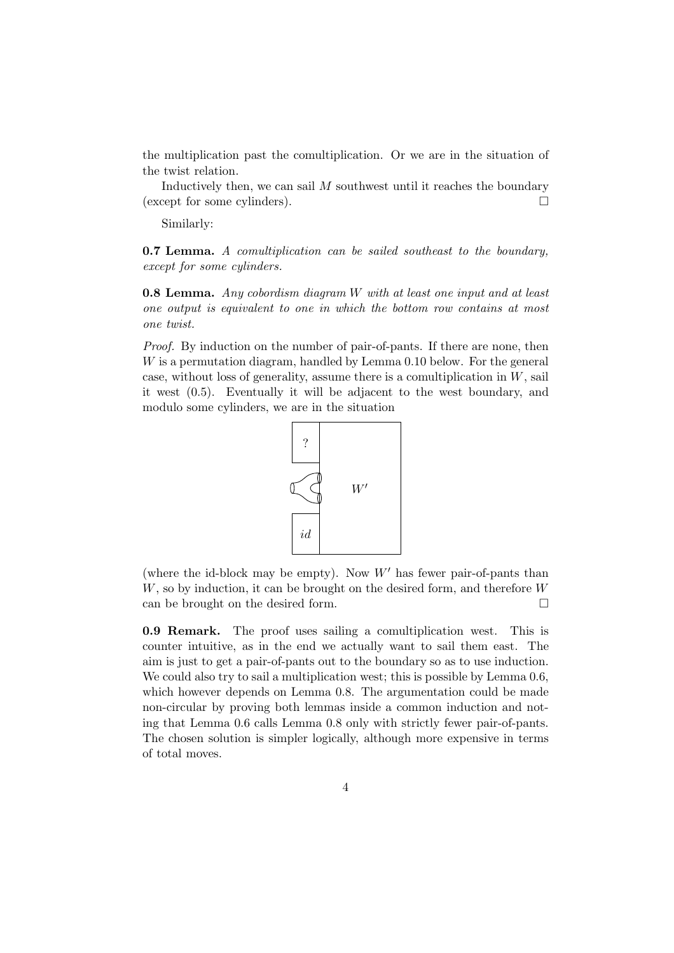the multiplication past the comultiplication. Or we are in the situation of the twist relation.

Inductively then, we can sail  $M$  southwest until it reaches the boundary (except for some cylinders).

Similarly:

0.7 Lemma. A comultiplication can be sailed southeast to the boundary, except for some cylinders.

0.8 Lemma. Any cobordism diagram W with at least one input and at least one output is equivalent to one in which the bottom row contains at most one twist.

Proof. By induction on the number of pair-of-pants. If there are none, then W is a permutation diagram, handled by Lemma 0.10 below. For the general case, without loss of generality, assume there is a comultiplication in  $W$ , sail it west (0.5). Eventually it will be adjacent to the west boundary, and modulo some cylinders, we are in the situation



(where the id-block may be empty). Now  $W'$  has fewer pair-of-pants than W, so by induction, it can be brought on the desired form, and therefore W can be brought on the desired form.  $\Box$ 

0.9 Remark. The proof uses sailing a comultiplication west. This is counter intuitive, as in the end we actually want to sail them east. The aim is just to get a pair-of-pants out to the boundary so as to use induction. We could also try to sail a multiplication west; this is possible by Lemma 0.6, which however depends on Lemma 0.8. The argumentation could be made non-circular by proving both lemmas inside a common induction and noting that Lemma 0.6 calls Lemma 0.8 only with strictly fewer pair-of-pants. The chosen solution is simpler logically, although more expensive in terms of total moves.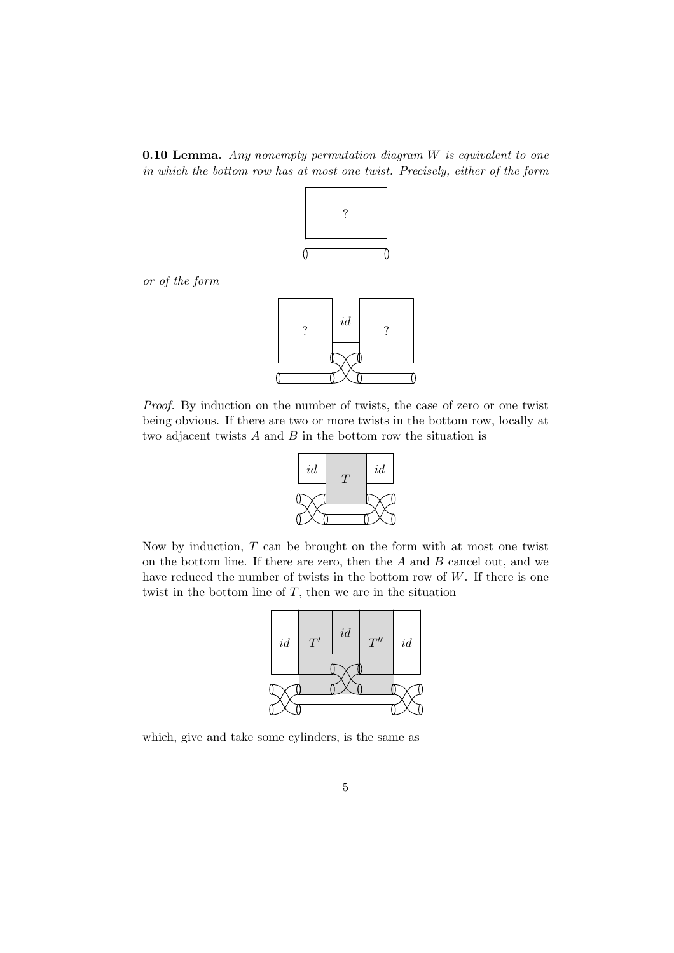**0.10 Lemma.** Any nonempty permutation diagram  $W$  is equivalent to one in which the bottom row has at most one twist. Precisely, either of the form



or of the form



Proof. By induction on the number of twists, the case of zero or one twist being obvious. If there are two or more twists in the bottom row, locally at two adjacent twists  $A$  and  $B$  in the bottom row the situation is



Now by induction,  $T$  can be brought on the form with at most one twist on the bottom line. If there are zero, then the  $A$  and  $B$  cancel out, and we have reduced the number of twists in the bottom row of  $W$ . If there is one twist in the bottom line of  $T$ , then we are in the situation



which, give and take some cylinders, is the same as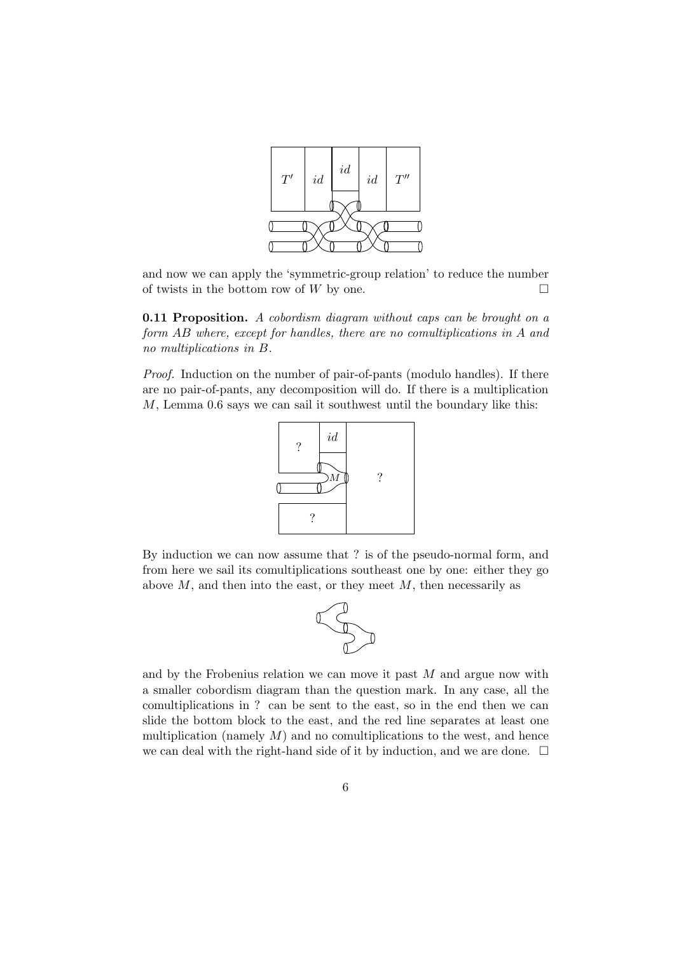

and now we can apply the 'symmetric-group relation' to reduce the number of twists in the bottom row of W by one.  $\square$ 

**0.11 Proposition.** A cobordism diagram without caps can be brought on a form AB where, except for handles, there are no comultiplications in A and no multiplications in B.

Proof. Induction on the number of pair-of-pants (modulo handles). If there are no pair-of-pants, any decomposition will do. If there is a multiplication M, Lemma 0.6 says we can sail it southwest until the boundary like this:



By induction we can now assume that ? is of the pseudo-normal form, and from here we sail its comultiplications southeast one by one: either they go above  $M$ , and then into the east, or they meet  $M$ , then necessarily as



and by the Frobenius relation we can move it past  $M$  and argue now with a smaller cobordism diagram than the question mark. In any case, all the comultiplications in ? can be sent to the east, so in the end then we can slide the bottom block to the east, and the red line separates at least one multiplication (namely  $M$ ) and no comultiplications to the west, and hence we can deal with the right-hand side of it by induction, and we are done.  $\Box$